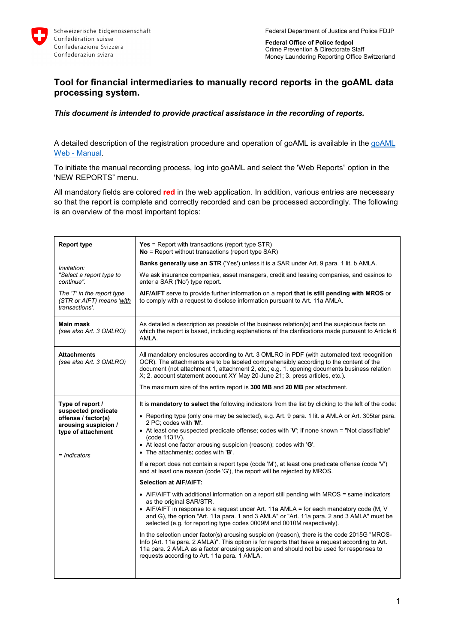

**Federal Office of Police fedpol** Crime Prevention & Directorate Staff Money Laundering Reporting Office Switzerland

## **Tool for financial intermediaries to manually record reports in the goAML data processing system.**

## *This document is intended to provide practical assistance in the recording of reports.*

A detailed description of the registration procedure and operation of [goAML](https://www.fedpol.admin.ch/dam/fedpol/en/data/kriminalitaet/geldwaescherei/aml/goaml-web-manual-e.pdf.download.pdf/goaml-web-manual-e.pdf) is available in the goAML Web - [Manual.](https://www.fedpol.admin.ch/dam/fedpol/en/data/kriminalitaet/geldwaescherei/aml/goaml-web-manual-e.pdf.download.pdf/goaml-web-manual-e.pdf)

To initiate the manual recording process, log into goAML and select the 'Web Reports" option in the 'NEW REPORTS" menu.

All mandatory fields are colored **red** in the web application. In addition, various entries are necessary so that the report is complete and correctly recorded and can be processed accordingly. The following is an overview of the most important topics:

| <b>Report type</b>                                                                                                           | <b>Yes</b> = Report with transactions (report type $STR$ )<br>$No =$ Report without transactions (report type SAR)                                                                                                                                                                                                                                                                                                                                                                                                                                                                                                                                                                                                                       |
|------------------------------------------------------------------------------------------------------------------------------|------------------------------------------------------------------------------------------------------------------------------------------------------------------------------------------------------------------------------------------------------------------------------------------------------------------------------------------------------------------------------------------------------------------------------------------------------------------------------------------------------------------------------------------------------------------------------------------------------------------------------------------------------------------------------------------------------------------------------------------|
| Invitation:                                                                                                                  | <b>Banks generally use an STR</b> ('Yes') unless it is a SAR under Art. 9 para. 1 lit. b AMLA.                                                                                                                                                                                                                                                                                                                                                                                                                                                                                                                                                                                                                                           |
| "Select a report type to<br>continue".                                                                                       | We ask insurance companies, asset managers, credit and leasing companies, and casinos to<br>enter a SAR ('No') type report.                                                                                                                                                                                                                                                                                                                                                                                                                                                                                                                                                                                                              |
| The 'T' in the report type<br>(STR or AIFT) means 'with<br>transactions'.                                                    | AIF/AIFT serve to provide further information on a report that is still pending with MROS or<br>to comply with a request to disclose information pursuant to Art. 11a AMLA.                                                                                                                                                                                                                                                                                                                                                                                                                                                                                                                                                              |
| <b>Main mask</b><br>(see also Art. 3 OMLRO)                                                                                  | As detailed a description as possible of the business relation(s) and the suspicious facts on<br>which the report is based, including explanations of the clarifications made pursuant to Article 6<br>AMLA.                                                                                                                                                                                                                                                                                                                                                                                                                                                                                                                             |
| <b>Attachments</b><br>(see also Art. 3 OMLRO)                                                                                | All mandatory enclosures according to Art. 3 OMLRO in PDF (with automated text recognition<br>OCR). The attachments are to be labeled comprehensibly according to the content of the<br>document (not attachment 1, attachment 2, etc.; e.g. 1. opening documents business relation<br>X; 2. account statement account XY May 20-June 21; 3. press articles, etc.).<br>The maximum size of the entire report is 300 MB and 20 MB per attachment.                                                                                                                                                                                                                                                                                         |
|                                                                                                                              |                                                                                                                                                                                                                                                                                                                                                                                                                                                                                                                                                                                                                                                                                                                                          |
| Type of report /<br>suspected predicate<br>offense / factor(s)<br>arousing suspicion /<br>type of attachment<br>= Indicators | It is <b>mandatory to select the</b> following indicators from the list by clicking to the left of the code:<br>• Reporting type (only one may be selected), e.g. Art. 9 para. 1 lit. a AMLA or Art. 305ter para.<br>2 PC; codes with 'M'.<br>• At least one suspected predicate offense; codes with 'V'; if none known = "Not classifiable"<br>(code 1131V).<br>• At least one factor arousing suspicion (reason); codes with 'G'.<br>• The attachments; codes with 'B'.                                                                                                                                                                                                                                                                |
|                                                                                                                              | If a report does not contain a report type (code 'M'), at least one predicate offense (code 'V')<br>and at least one reason (code 'G'), the report will be rejected by MROS.                                                                                                                                                                                                                                                                                                                                                                                                                                                                                                                                                             |
|                                                                                                                              | <b>Selection at AIF/AIFT:</b>                                                                                                                                                                                                                                                                                                                                                                                                                                                                                                                                                                                                                                                                                                            |
|                                                                                                                              | • AIF/AIFT with additional information on a report still pending with MROS = same indicators<br>as the original SAR/STR.<br>• AIF/AIFT in response to a request under Art. 11a AMLA = for each mandatory code (M, V<br>and G), the option "Art. 11a para. 1 and 3 AMLA" or "Art. 11a para. 2 and 3 AMLA" must be<br>selected (e.g. for reporting type codes 0009M and 0010M respectively).<br>In the selection under factor(s) arousing suspicion (reason), there is the code 2015G "MROS-<br>Info (Art. 11a para. 2 AMLA)". This option is for reports that have a request according to Art.<br>11a para. 2 AMLA as a factor arousing suspicion and should not be used for responses to<br>requests according to Art. 11a para. 1 AMLA. |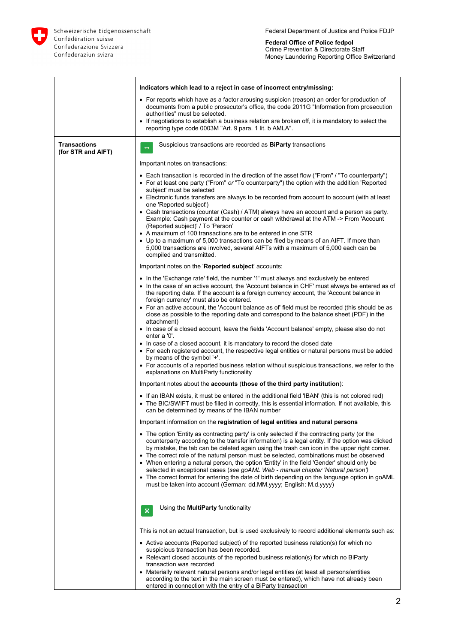

**Federal Office of Police fedpol** Crime Prevention & Directorate Staff Money Laundering Reporting Office Switzerland

| • For reports which have as a factor arousing suspicion (reason) an order for production of<br>documents from a public prosecutor's office, the code 2011G "Information from prosecution<br>authorities" must be selected.<br>• If negotiations to establish a business relation are broken off, it is mandatory to select the<br>reporting type code 0003M "Art. 9 para. 1 lit. b AMLA".<br><b>Transactions</b><br>Suspicious transactions are recorded as <b>BiParty</b> transactions<br>(for STR and AIFT)<br>Important notes on transactions:<br>• Each transaction is recorded in the direction of the asset flow ("From" / "To counterparty")<br>• For at least one party ("From" or "To counterparty") the option with the addition 'Reported<br>subject' must be selected<br>• Electronic funds transfers are always to be recorded from account to account (with at least<br>one 'Reported subject')<br>• Cash transactions (counter (Cash) / ATM) always have an account and a person as party.<br>Example: Cash payment at the counter or cash withdrawal at the ATM -> From 'Account<br>(Reported subject)' / To 'Person'<br>• A maximum of 100 transactions are to be entered in one STR<br>• Up to a maximum of 5,000 transactions can be filed by means of an AIFT. If more than<br>5,000 transactions are involved, several AIFTs with a maximum of 5,000 each can be<br>compiled and transmitted.<br>Important notes on the 'Reported subject' accounts:<br>• In the 'Exchange rate' field, the number '1' must always and exclusively be entered<br>• In the case of an active account, the 'Account balance in CHF' must always be entered as of<br>the reporting date. If the account is a foreign currency account, the 'Account balance in<br>foreign currency' must also be entered.<br>• For an active account, the 'Account balance as of' field must be recorded (this should be as<br>close as possible to the reporting date and correspond to the balance sheet (PDF) in the<br>attachment)<br>• In case of a closed account, leave the fields 'Account balance' empty, please also do not<br>enter a '0'.<br>• In case of a closed account, it is mandatory to record the closed date<br>• For each registered account, the respective legal entities or natural persons must be added<br>by means of the symbol '+'.<br>• For accounts of a reported business relation without suspicious transactions, we refer to the<br>explanations on MultiParty functionality<br>Important notes about the accounts (those of the third party institution): | Indicators which lead to a reject in case of incorrect entry/missing: |
|----------------------------------------------------------------------------------------------------------------------------------------------------------------------------------------------------------------------------------------------------------------------------------------------------------------------------------------------------------------------------------------------------------------------------------------------------------------------------------------------------------------------------------------------------------------------------------------------------------------------------------------------------------------------------------------------------------------------------------------------------------------------------------------------------------------------------------------------------------------------------------------------------------------------------------------------------------------------------------------------------------------------------------------------------------------------------------------------------------------------------------------------------------------------------------------------------------------------------------------------------------------------------------------------------------------------------------------------------------------------------------------------------------------------------------------------------------------------------------------------------------------------------------------------------------------------------------------------------------------------------------------------------------------------------------------------------------------------------------------------------------------------------------------------------------------------------------------------------------------------------------------------------------------------------------------------------------------------------------------------------------------------------------------------------------------------------------------------------------------------------------------------------------------------------------------------------------------------------------------------------------------------------------------------------------------------------------------------------------------------------------------------------------------------------------------------------------------------------------------------------------------------------------------------------------------------------------|-----------------------------------------------------------------------|
|                                                                                                                                                                                                                                                                                                                                                                                                                                                                                                                                                                                                                                                                                                                                                                                                                                                                                                                                                                                                                                                                                                                                                                                                                                                                                                                                                                                                                                                                                                                                                                                                                                                                                                                                                                                                                                                                                                                                                                                                                                                                                                                                                                                                                                                                                                                                                                                                                                                                                                                                                                                  |                                                                       |
|                                                                                                                                                                                                                                                                                                                                                                                                                                                                                                                                                                                                                                                                                                                                                                                                                                                                                                                                                                                                                                                                                                                                                                                                                                                                                                                                                                                                                                                                                                                                                                                                                                                                                                                                                                                                                                                                                                                                                                                                                                                                                                                                                                                                                                                                                                                                                                                                                                                                                                                                                                                  |                                                                       |
|                                                                                                                                                                                                                                                                                                                                                                                                                                                                                                                                                                                                                                                                                                                                                                                                                                                                                                                                                                                                                                                                                                                                                                                                                                                                                                                                                                                                                                                                                                                                                                                                                                                                                                                                                                                                                                                                                                                                                                                                                                                                                                                                                                                                                                                                                                                                                                                                                                                                                                                                                                                  |                                                                       |
|                                                                                                                                                                                                                                                                                                                                                                                                                                                                                                                                                                                                                                                                                                                                                                                                                                                                                                                                                                                                                                                                                                                                                                                                                                                                                                                                                                                                                                                                                                                                                                                                                                                                                                                                                                                                                                                                                                                                                                                                                                                                                                                                                                                                                                                                                                                                                                                                                                                                                                                                                                                  |                                                                       |
|                                                                                                                                                                                                                                                                                                                                                                                                                                                                                                                                                                                                                                                                                                                                                                                                                                                                                                                                                                                                                                                                                                                                                                                                                                                                                                                                                                                                                                                                                                                                                                                                                                                                                                                                                                                                                                                                                                                                                                                                                                                                                                                                                                                                                                                                                                                                                                                                                                                                                                                                                                                  |                                                                       |
|                                                                                                                                                                                                                                                                                                                                                                                                                                                                                                                                                                                                                                                                                                                                                                                                                                                                                                                                                                                                                                                                                                                                                                                                                                                                                                                                                                                                                                                                                                                                                                                                                                                                                                                                                                                                                                                                                                                                                                                                                                                                                                                                                                                                                                                                                                                                                                                                                                                                                                                                                                                  |                                                                       |
|                                                                                                                                                                                                                                                                                                                                                                                                                                                                                                                                                                                                                                                                                                                                                                                                                                                                                                                                                                                                                                                                                                                                                                                                                                                                                                                                                                                                                                                                                                                                                                                                                                                                                                                                                                                                                                                                                                                                                                                                                                                                                                                                                                                                                                                                                                                                                                                                                                                                                                                                                                                  |                                                                       |
|                                                                                                                                                                                                                                                                                                                                                                                                                                                                                                                                                                                                                                                                                                                                                                                                                                                                                                                                                                                                                                                                                                                                                                                                                                                                                                                                                                                                                                                                                                                                                                                                                                                                                                                                                                                                                                                                                                                                                                                                                                                                                                                                                                                                                                                                                                                                                                                                                                                                                                                                                                                  |                                                                       |
|                                                                                                                                                                                                                                                                                                                                                                                                                                                                                                                                                                                                                                                                                                                                                                                                                                                                                                                                                                                                                                                                                                                                                                                                                                                                                                                                                                                                                                                                                                                                                                                                                                                                                                                                                                                                                                                                                                                                                                                                                                                                                                                                                                                                                                                                                                                                                                                                                                                                                                                                                                                  |                                                                       |
|                                                                                                                                                                                                                                                                                                                                                                                                                                                                                                                                                                                                                                                                                                                                                                                                                                                                                                                                                                                                                                                                                                                                                                                                                                                                                                                                                                                                                                                                                                                                                                                                                                                                                                                                                                                                                                                                                                                                                                                                                                                                                                                                                                                                                                                                                                                                                                                                                                                                                                                                                                                  |                                                                       |
|                                                                                                                                                                                                                                                                                                                                                                                                                                                                                                                                                                                                                                                                                                                                                                                                                                                                                                                                                                                                                                                                                                                                                                                                                                                                                                                                                                                                                                                                                                                                                                                                                                                                                                                                                                                                                                                                                                                                                                                                                                                                                                                                                                                                                                                                                                                                                                                                                                                                                                                                                                                  |                                                                       |
|                                                                                                                                                                                                                                                                                                                                                                                                                                                                                                                                                                                                                                                                                                                                                                                                                                                                                                                                                                                                                                                                                                                                                                                                                                                                                                                                                                                                                                                                                                                                                                                                                                                                                                                                                                                                                                                                                                                                                                                                                                                                                                                                                                                                                                                                                                                                                                                                                                                                                                                                                                                  |                                                                       |
|                                                                                                                                                                                                                                                                                                                                                                                                                                                                                                                                                                                                                                                                                                                                                                                                                                                                                                                                                                                                                                                                                                                                                                                                                                                                                                                                                                                                                                                                                                                                                                                                                                                                                                                                                                                                                                                                                                                                                                                                                                                                                                                                                                                                                                                                                                                                                                                                                                                                                                                                                                                  |                                                                       |
|                                                                                                                                                                                                                                                                                                                                                                                                                                                                                                                                                                                                                                                                                                                                                                                                                                                                                                                                                                                                                                                                                                                                                                                                                                                                                                                                                                                                                                                                                                                                                                                                                                                                                                                                                                                                                                                                                                                                                                                                                                                                                                                                                                                                                                                                                                                                                                                                                                                                                                                                                                                  |                                                                       |
| • If an IBAN exists, it must be entered in the additional field 'IBAN' (this is not colored red)<br>• The BIC/SWIFT must be filled in correctly, this is essential information. If not available, this<br>can be determined by means of the IBAN number                                                                                                                                                                                                                                                                                                                                                                                                                                                                                                                                                                                                                                                                                                                                                                                                                                                                                                                                                                                                                                                                                                                                                                                                                                                                                                                                                                                                                                                                                                                                                                                                                                                                                                                                                                                                                                                                                                                                                                                                                                                                                                                                                                                                                                                                                                                          |                                                                       |
| Important information on the registration of legal entities and natural persons                                                                                                                                                                                                                                                                                                                                                                                                                                                                                                                                                                                                                                                                                                                                                                                                                                                                                                                                                                                                                                                                                                                                                                                                                                                                                                                                                                                                                                                                                                                                                                                                                                                                                                                                                                                                                                                                                                                                                                                                                                                                                                                                                                                                                                                                                                                                                                                                                                                                                                  |                                                                       |
| • The option 'Entity as contracting party' is only selected if the contracting party (or the<br>counterparty according to the transfer information) is a legal entity. If the option was clicked<br>by mistake, the tab can be deleted again using the trash can icon in the upper right corner.<br>• The correct role of the natural person must be selected, combinations must be observed<br>• When entering a natural person, the option 'Entity' in the field 'Gender' should only be<br>selected in exceptional cases (see goAML Web - manual chapter 'Natural person')<br>• The correct format for entering the date of birth depending on the language option in goAML<br>must be taken into account (German: dd.MM.yyyy; English: M.d.yyyy)                                                                                                                                                                                                                                                                                                                                                                                                                                                                                                                                                                                                                                                                                                                                                                                                                                                                                                                                                                                                                                                                                                                                                                                                                                                                                                                                                                                                                                                                                                                                                                                                                                                                                                                                                                                                                             |                                                                       |
| Using the <b>MultiParty</b> functionality<br>$\pmb{\times}$                                                                                                                                                                                                                                                                                                                                                                                                                                                                                                                                                                                                                                                                                                                                                                                                                                                                                                                                                                                                                                                                                                                                                                                                                                                                                                                                                                                                                                                                                                                                                                                                                                                                                                                                                                                                                                                                                                                                                                                                                                                                                                                                                                                                                                                                                                                                                                                                                                                                                                                      |                                                                       |
| This is not an actual transaction, but is used exclusively to record additional elements such as:                                                                                                                                                                                                                                                                                                                                                                                                                                                                                                                                                                                                                                                                                                                                                                                                                                                                                                                                                                                                                                                                                                                                                                                                                                                                                                                                                                                                                                                                                                                                                                                                                                                                                                                                                                                                                                                                                                                                                                                                                                                                                                                                                                                                                                                                                                                                                                                                                                                                                |                                                                       |
| • Active accounts (Reported subject) of the reported business relation(s) for which no<br>suspicious transaction has been recorded.<br>• Relevant closed accounts of the reported business relation(s) for which no BiParty                                                                                                                                                                                                                                                                                                                                                                                                                                                                                                                                                                                                                                                                                                                                                                                                                                                                                                                                                                                                                                                                                                                                                                                                                                                                                                                                                                                                                                                                                                                                                                                                                                                                                                                                                                                                                                                                                                                                                                                                                                                                                                                                                                                                                                                                                                                                                      |                                                                       |
| transaction was recorded                                                                                                                                                                                                                                                                                                                                                                                                                                                                                                                                                                                                                                                                                                                                                                                                                                                                                                                                                                                                                                                                                                                                                                                                                                                                                                                                                                                                                                                                                                                                                                                                                                                                                                                                                                                                                                                                                                                                                                                                                                                                                                                                                                                                                                                                                                                                                                                                                                                                                                                                                         |                                                                       |
| • Materially relevant natural persons and/or legal entities (at least all persons/entities<br>according to the text in the main screen must be entered), which have not already been<br>entered in connection with the entry of a BiParty transaction                                                                                                                                                                                                                                                                                                                                                                                                                                                                                                                                                                                                                                                                                                                                                                                                                                                                                                                                                                                                                                                                                                                                                                                                                                                                                                                                                                                                                                                                                                                                                                                                                                                                                                                                                                                                                                                                                                                                                                                                                                                                                                                                                                                                                                                                                                                            |                                                                       |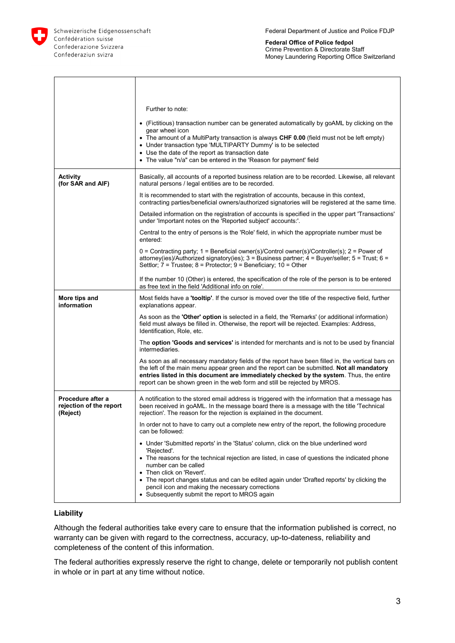

 $\Gamma$ 

Schweizerische Eidgenossenschaft Confédération suisse Confederazione Svizzera Confederaziun svizra

T

**Federal Office of Police fedpol** Crime Prevention & Directorate Staff Money Laundering Reporting Office Switzerland

٦

|                                                          | Further to note:                                                                                                                                                                                                                                                                                                                                                      |
|----------------------------------------------------------|-----------------------------------------------------------------------------------------------------------------------------------------------------------------------------------------------------------------------------------------------------------------------------------------------------------------------------------------------------------------------|
|                                                          | • (Fictitious) transaction number can be generated automatically by goAML by clicking on the<br>gear wheel icon<br>• The amount of a MultiParty transaction is always CHF 0.00 (field must not be left empty)<br>• Under transaction type 'MULTIPARTY Dummy' is to be selected                                                                                        |
|                                                          | • Use the date of the report as transaction date<br>• The value "n/a" can be entered in the 'Reason for payment' field                                                                                                                                                                                                                                                |
| <b>Activity</b><br>(for SAR and AIF)                     | Basically, all accounts of a reported business relation are to be recorded. Likewise, all relevant<br>natural persons / legal entities are to be recorded.                                                                                                                                                                                                            |
|                                                          | It is recommended to start with the registration of accounts, because in this context,<br>contracting parties/beneficial owners/authorized signatories will be registered at the same time.                                                                                                                                                                           |
|                                                          | Detailed information on the registration of accounts is specified in the upper part 'Transactions'<br>under 'Important notes on the 'Reported subject' accounts:'.                                                                                                                                                                                                    |
|                                                          | Central to the entry of persons is the 'Role' field, in which the appropriate number must be<br>entered:                                                                                                                                                                                                                                                              |
|                                                          | 0 = Contracting party; 1 = Beneficial owner(s)/Control owner(s)/Controller(s); 2 = Power of<br>attorney(ies)/Authorized signatory(ies); $3 =$ Business partner; $4 =$ Buyer/seller; $5 =$ Trust; $6 =$<br>Settlor; $7 =$ Trustee; $8 =$ Protector; $9 =$ Beneficiary; $10 =$ Other                                                                                    |
|                                                          | If the number 10 (Other) is entered, the specification of the role of the person is to be entered<br>as free text in the field 'Additional info on role'.                                                                                                                                                                                                             |
| More tips and<br>information                             | Most fields have a <b>'tooltip'</b> . If the cursor is moved over the title of the respective field, further<br>explanations appear.                                                                                                                                                                                                                                  |
|                                                          | As soon as the <b>'Other' option</b> is selected in a field, the 'Remarks' (or additional information)<br>field must always be filled in. Otherwise, the report will be rejected. Examples: Address,<br>Identification, Role, etc.                                                                                                                                    |
|                                                          | The option 'Goods and services' is intended for merchants and is not to be used by financial<br>intermediaries.                                                                                                                                                                                                                                                       |
|                                                          | As soon as all necessary mandatory fields of the report have been filled in, the vertical bars on<br>the left of the main menu appear green and the report can be submitted. Not all mandatory<br>entries listed in this document are immediately checked by the system. Thus, the entire<br>report can be shown green in the web form and still be rejected by MROS. |
| Procedure after a<br>rejection of the report<br>(Reject) | A notification to the stored email address is triggered with the information that a message has<br>been received in goAML. In the message board there is a message with the title 'Technical<br>rejection'. The reason for the rejection is explained in the document.                                                                                                |
|                                                          | In order not to have to carry out a complete new entry of the report, the following procedure<br>can be followed:                                                                                                                                                                                                                                                     |
|                                                          | • Under 'Submitted reports' in the 'Status' column, click on the blue underlined word<br>'Rejected'.                                                                                                                                                                                                                                                                  |
|                                                          | • The reasons for the technical rejection are listed, in case of questions the indicated phone<br>number can be called<br>Then click on 'Revert'.                                                                                                                                                                                                                     |
|                                                          | • The report changes status and can be edited again under 'Drafted reports' by clicking the<br>pencil icon and making the necessary corrections<br>• Subsequently submit the report to MROS again                                                                                                                                                                     |

## **Liability**

Although the federal authorities take every care to ensure that the information published is correct, no warranty can be given with regard to the correctness, accuracy, up-to-dateness, reliability and completeness of the content of this information.

The federal authorities expressly reserve the right to change, delete or temporarily not publish content in whole or in part at any time without notice.